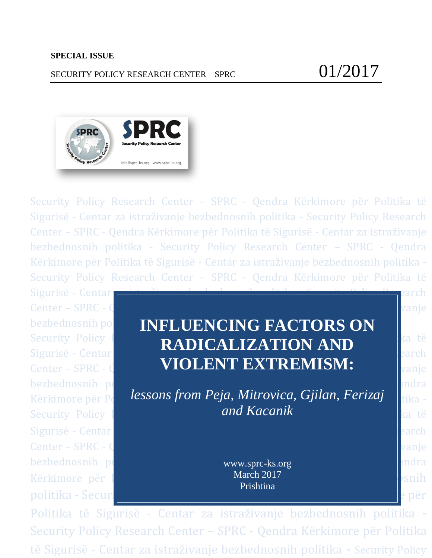# SECURITY POLICY RESEARCH CENTER – SPRC  $01/2017$



Security Policy Research Center – SPRC - Qendra Kërkimore për Politika të Sigurisë - Centar za istraživanje bezbednosnih politika - Security Policy Research Center – SPRC - Qendra Kërkimore për Politika të Sigurisë - Centar za istraživanje bezbednosnih politika - Security Policy Research Center – SPRC - Qendra Kërkimore për Politika të Sigurisë - Centar za istraživanje bezbednosnih politika - Security Policy Research Center – SPRC - Qendra Kërkimore për Politika të

Sigurisë - Centar **za istraživanja bezbednosnih politika - Security Policy Res**earch Center – SPRC - Qendra Kërkimore për Politika të Sigurisë - Centar Za istraživanje - Centar za istraživanje bezbednosnih politika - Security Policy Research Center – Security Policy Research Policy Research  $\epsilon$ Sigurisë - Centar **za istoraza istoraza istoraza istoraza istor**aza - Security Politika - Security Politika - Se Center – SPRC - Qendra Kërkimore për Politika të Sigurisë - Centar Za istraživanje - Centar za istraživanje bezbednosnih politika - Security Politika - Security Politika - Security Politika - Security Policy Politika -Kërkimore për Politika të Sigurisë - Centar March 2017 - Centar istraživanje bezbednosnih partitika të partiti politika - Security Policy Research Center – SPRC - SPRC - Qendra Kërkimore për për

# **bezbednosnih politika - INFLUENCING FACTORS ON** Security Policy **RADICALIZATION AND** Sigurisë - Centar **XXXIII politika - Security Politika - Security Politika - Security Politika - Security Politika - Security Politika - Security Politika - Security Politika - Security Politika - Security Politika - Secur** Center – SPRC - Q**entar Kërkimore për Politika të Sigurisë - Centar Zahrisë - Centar za ishte** Sigurisë - Centar Z

Kërkimore për Pelindess*ons from Peja, Mitrovica, Gjilan, Ferizaj* isht<sub>a -</sub> Security Policy Research Center – Security Policy Research Center – Security Policy Research – Security Policy *and Kacanik*

> www.sprc-ks.org March 2017 Prishtina

Politika të Sigurisë - Centar za istraživanje bezbednosnih politika - Security Policy Research Center – SPRC - Qendra Kërkimore për Politika të Sigurisë - Centar za istraživanje bezbednosnih politika - Security Policy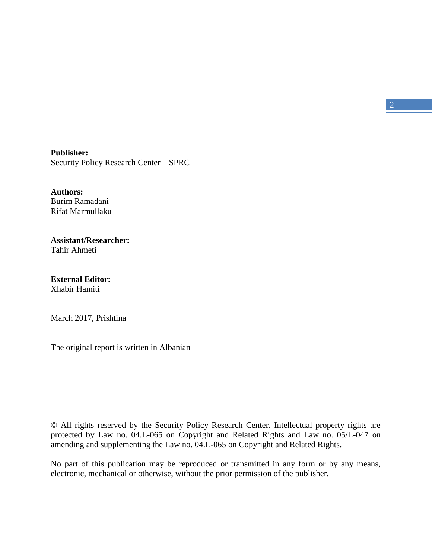**Publisher:** Security Policy Research Center – SPRC

**Authors:** Burim Ramadani Rifat Marmullaku

#### **Assistant/Researcher:** Tahir Ahmeti

**External Editor:** Xhabir Hamiti

March 2017, Prishtina

The original report is written in Albanian

© All rights reserved by the Security Policy Research Center. Intellectual property rights are protected by Law no. 04.L-065 on Copyright and Related Rights and Law no. 05/L-047 on amending and supplementing the Law no. 04.L-065 on Copyright and Related Rights.

No part of this publication may be reproduced or transmitted in any form or by any means, electronic, mechanical or otherwise, without the prior permission of the publisher.

 $\vert 2 \vert$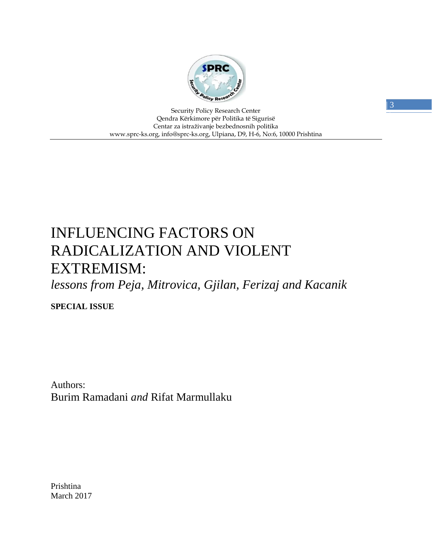

Security Policy Research Center Qendra Kërkimore për Politika të Sigurisë Centar za istraživanje bezbednosnih politika www.sprc-ks.org, info@sprc-ks.org, Ulpiana, D9, H-6, No:6, 10000 Prishtina

# INFLUENCING FACTORS ON RADICALIZATION AND VIOLENT EXTREMISM:

*lessons from Peja, Mitrovica, Gjilan, Ferizaj and Kacanik*

**SPECIAL ISSUE**

Authors: Burim Ramadani *and* Rifat Marmullaku

Prishtina March 2017  $| 3 \rangle$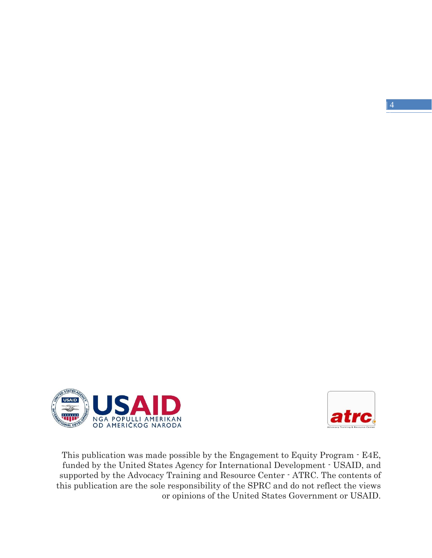$\vert 4 \vert$ 





This publication was made possible by the Engagement to Equity Program - E4E, funded by the United States Agency for International Development - USAID, and supported by the Advocacy Training and Resource Center - ATRC. The contents of this publication are the sole responsibility of the SPRC and do not reflect the views or opinions of the United States Government or USAID.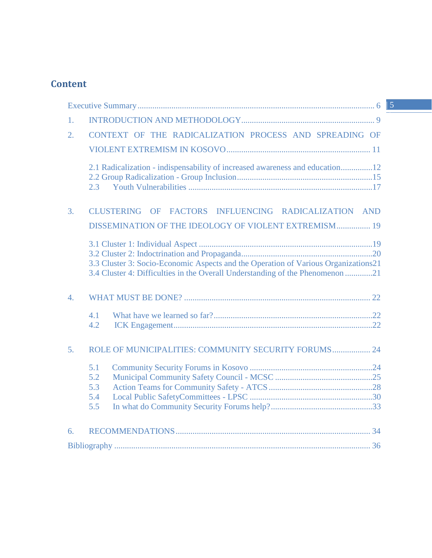# **Content**

| 1.                                                                                                                                                                  |  |
|---------------------------------------------------------------------------------------------------------------------------------------------------------------------|--|
| CONTEXT OF THE RADICALIZATION PROCESS AND SPREADING OF<br>$\overline{2}$ .                                                                                          |  |
|                                                                                                                                                                     |  |
| 2.1 Radicalization - indispensability of increased awareness and education12<br>2.3                                                                                 |  |
| <b>CLUSTERING</b><br>OF FACTORS INFLUENCING RADICALIZATION AND<br>3.                                                                                                |  |
| DISSEMINATION OF THE IDEOLOGY OF VIOLENT EXTREMISM 19                                                                                                               |  |
| 3.3 Cluster 3: Socio-Economic Aspects and the Operation of Various Organizations21<br>3.4 Cluster 4: Difficulties in the Overall Understanding of the Phenomenon 21 |  |
| 4.                                                                                                                                                                  |  |
| 4.1<br>4.2                                                                                                                                                          |  |
| ROLE OF MUNICIPALITIES: COMMUNITY SECURITY FORUMS 24<br>5 <sub>1</sub>                                                                                              |  |
| 5.1                                                                                                                                                                 |  |
| 5.2                                                                                                                                                                 |  |
| 5.3                                                                                                                                                                 |  |
| 5.4                                                                                                                                                                 |  |
| 5.5                                                                                                                                                                 |  |
| 6.                                                                                                                                                                  |  |
|                                                                                                                                                                     |  |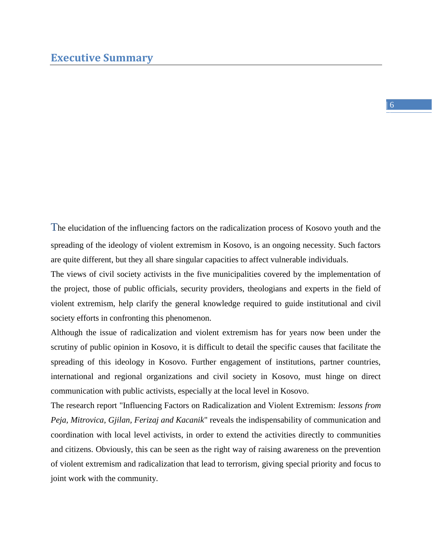#### $| 6$

<span id="page-5-0"></span>The elucidation of the influencing factors on the radicalization process of Kosovo youth and the spreading of the ideology of violent extremism in Kosovo, is an ongoing necessity. Such factors are quite different, but they all share singular capacities to affect vulnerable individuals.

The views of civil society activists in the five municipalities covered by the implementation of the project, those of public officials, security providers, theologians and experts in the field of violent extremism, help clarify the general knowledge required to guide institutional and civil society efforts in confronting this phenomenon.

Although the issue of radicalization and violent extremism has for years now been under the scrutiny of public opinion in Kosovo, it is difficult to detail the specific causes that facilitate the spreading of this ideology in Kosovo. Further engagement of institutions, partner countries, international and regional organizations and civil society in Kosovo, must hinge on direct communication with public activists, especially at the local level in Kosovo.

The research report "Influencing Factors on Radicalization and Violent Extremism: *lessons from Peja, Mitrovica, Gjilan, Ferizaj and Kacanik*" reveals the indispensability of communication and coordination with local level activists, in order to extend the activities directly to communities and citizens. Obviously, this can be seen as the right way of raising awareness on the prevention of violent extremism and radicalization that lead to terrorism, giving special priority and focus to joint work with the community.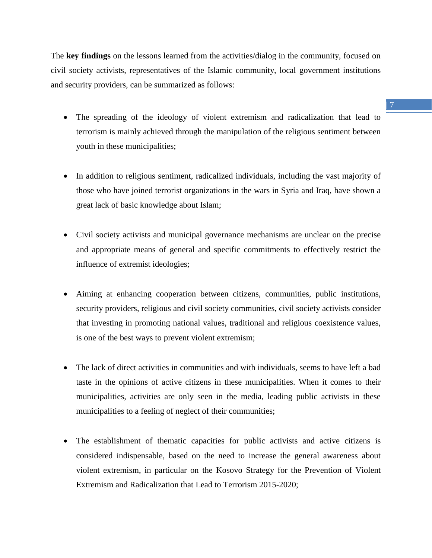The **key findings** on the lessons learned from the activities/dialog in the community, focused on civil society activists, representatives of the Islamic community, local government institutions and security providers, can be summarized as follows:

- The spreading of the ideology of violent extremism and radicalization that lead to terrorism is mainly achieved through the manipulation of the religious sentiment between youth in these municipalities;
- In addition to religious sentiment, radicalized individuals, including the vast majority of those who have joined terrorist organizations in the wars in Syria and Iraq, have shown a great lack of basic knowledge about Islam;
- Civil society activists and municipal governance mechanisms are unclear on the precise and appropriate means of general and specific commitments to effectively restrict the influence of extremist ideologies;
- Aiming at enhancing cooperation between citizens, communities, public institutions, security providers, religious and civil society communities, civil society activists consider that investing in promoting national values, traditional and religious coexistence values, is one of the best ways to prevent violent extremism;
- The lack of direct activities in communities and with individuals, seems to have left a bad taste in the opinions of active citizens in these municipalities. When it comes to their municipalities, activities are only seen in the media, leading public activists in these municipalities to a feeling of neglect of their communities;
- The establishment of thematic capacities for public activists and active citizens is considered indispensable, based on the need to increase the general awareness about violent extremism, in particular on the Kosovo Strategy for the Prevention of Violent Extremism and Radicalization that Lead to Terrorism 2015-2020;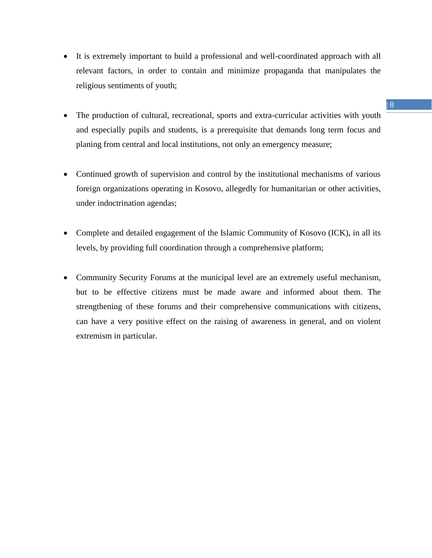- It is extremely important to build a professional and well-coordinated approach with all relevant factors, in order to contain and minimize propaganda that manipulates the religious sentiments of youth;
- The production of cultural, recreational, sports and extra-curricular activities with youth and especially pupils and students, is a prerequisite that demands long term focus and planing from central and local institutions, not only an emergency measure;
- Continued growth of supervision and control by the institutional mechanisms of various foreign organizations operating in Kosovo, allegedly for humanitarian or other activities, under indoctrination agendas;
- Complete and detailed engagement of the Islamic Community of Kosovo (ICK), in all its levels, by providing full coordination through a comprehensive platform;
- Community Security Forums at the municipal level are an extremely useful mechanism, but to be effective citizens must be made aware and informed about them. The strengthening of these forums and their comprehensive communications with citizens, can have a very positive effect on the raising of awareness in general, and on violent extremism in particular.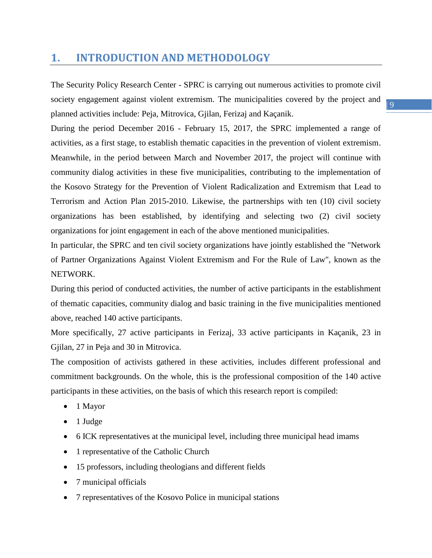# <span id="page-8-0"></span>**1. INTRODUCTION AND METHODOLOGY**

The Security Policy Research Center - SPRC is carrying out numerous activities to promote civil society engagement against violent extremism. The municipalities covered by the project and planned activities include: Peja, Mitrovica, Gjilan, Ferizaj and Kaçanik.

During the period December 2016 - February 15, 2017, the SPRC implemented a range of activities, as a first stage, to establish thematic capacities in the prevention of violent extremism. Meanwhile, in the period between March and November 2017, the project will continue with community dialog activities in these five municipalities, contributing to the implementation of the Kosovo Strategy for the Prevention of Violent Radicalization and Extremism that Lead to Terrorism and Action Plan 2015-2010. Likewise, the partnerships with ten (10) civil society organizations has been established, by identifying and selecting two (2) civil society organizations for joint engagement in each of the above mentioned municipalities.

In particular, the SPRC and ten civil society organizations have jointly established the "Network of Partner Organizations Against Violent Extremism and For the Rule of Law", known as the NETWORK.

During this period of conducted activities, the number of active participants in the establishment of thematic capacities, community dialog and basic training in the five municipalities mentioned above, reached 140 active participants.

More specifically, 27 active participants in Ferizaj, 33 active participants in Kaçanik, 23 in Gjilan, 27 in Peja and 30 in Mitrovica.

The composition of activists gathered in these activities, includes different professional and commitment backgrounds. On the whole, this is the professional composition of the 140 active participants in these activities, on the basis of which this research report is compiled:

- 1 Mayor
- $\bullet$  1 Judge
- 6 ICK representatives at the municipal level, including three municipal head imams
- 1 representative of the Catholic Church
- 15 professors, including theologians and different fields
- 7 municipal officials
- 7 representatives of the Kosovo Police in municipal stations

 $| 9$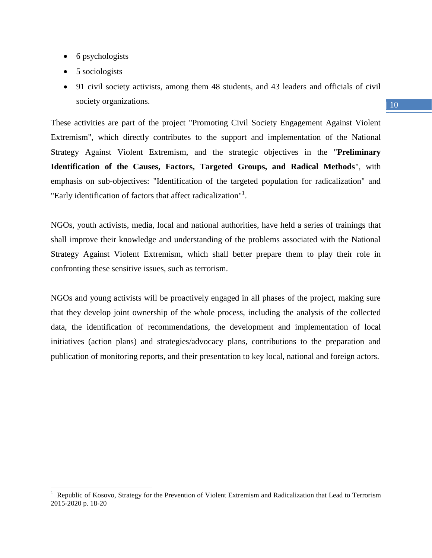- 6 psychologists
- 5 sociologists

 $\overline{a}$ 

 91 civil society activists, among them 48 students, and 43 leaders and officials of civil society organizations.

These activities are part of the project "Promoting Civil Society Engagement Against Violent Extremism", which directly contributes to the support and implementation of the National Strategy Against Violent Extremism, and the strategic objectives in the "**Preliminary Identification of the Causes, Factors, Targeted Groups, and Radical Methods**", with emphasis on sub-objectives: "Identification of the targeted population for radicalization" and "Early identification of factors that affect radicalization"<sup>1</sup>.

NGOs, youth activists, media, local and national authorities, have held a series of trainings that shall improve their knowledge and understanding of the problems associated with the National Strategy Against Violent Extremism, which shall better prepare them to play their role in confronting these sensitive issues, such as terrorism.

NGOs and young activists will be proactively engaged in all phases of the project, making sure that they develop joint ownership of the whole process, including the analysis of the collected data, the identification of recommendations, the development and implementation of local initiatives (action plans) and strategies/advocacy plans, contributions to the preparation and publication of monitoring reports, and their presentation to key local, national and foreign actors.

#### $10<sup>10</sup>$

<sup>1</sup> Republic of Kosovo, Strategy for the Prevention of Violent Extremism and Radicalization that Lead to Terrorism 2015-2020 p. 18-20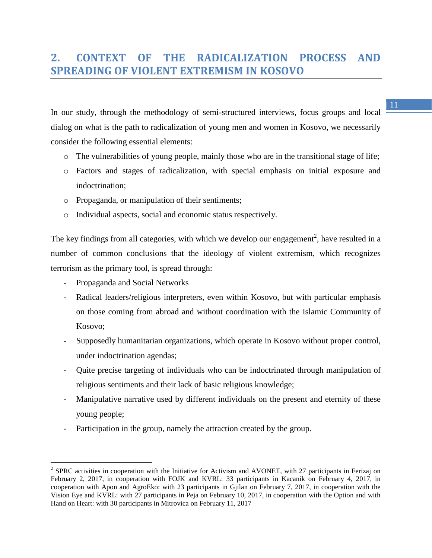# <span id="page-10-0"></span>**2. CONTEXT OF THE RADICALIZATION PROCESS AND SPREADING OF VIOLENT EXTREMISM IN KOSOVO**

In our study, through the methodology of semi-structured interviews, focus groups and local dialog on what is the path to radicalization of young men and women in Kosovo, we necessarily consider the following essential elements:

- $\circ$  The vulnerabilities of young people, mainly those who are in the transitional stage of life;
- o Factors and stages of radicalization, with special emphasis on initial exposure and indoctrination;
- o Propaganda, or manipulation of their sentiments;
- o Individual aspects, social and economic status respectively.

The key findings from all categories, with which we develop our engagement<sup>2</sup>, have resulted in a number of common conclusions that the ideology of violent extremism, which recognizes terrorism as the primary tool, is spread through:

- Propaganda and Social Networks
- Radical leaders/religious interpreters, even within Kosovo, but with particular emphasis on those coming from abroad and without coordination with the Islamic Community of Kosovo;
- Supposedly humanitarian organizations, which operate in Kosovo without proper control, under indoctrination agendas;
- Quite precise targeting of individuals who can be indoctrinated through manipulation of religious sentiments and their lack of basic religious knowledge;
- Manipulative narrative used by different individuals on the present and eternity of these young people;
- Participation in the group, namely the attraction created by the group.

<sup>&</sup>lt;sup>2</sup> SPRC activities in cooperation with the Initiative for Activism and AVONET, with 27 participants in Ferizaj on February 2, 2017, in cooperation with FOJK and KVRL: 33 participants in Kacanik on February 4, 2017, in cooperation with Apon and AgroEko: with 23 participants in Gjilan on February 7, 2017, in cooperation with the Vision Eye and KVRL: with 27 participants in Peja on February 10, 2017, in cooperation with the Option and with Hand on Heart: with 30 participants in Mitrovica on February 11, 2017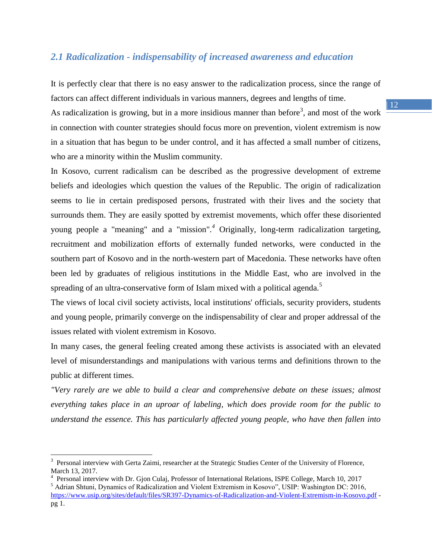## <span id="page-11-0"></span>*2.1 Radicalization - indispensability of increased awareness and education*

It is perfectly clear that there is no easy answer to the radicalization process, since the range of factors can affect different individuals in various manners, degrees and lengths of time. As radicalization is growing, but in a more insidious manner than before<sup>3</sup>, and most of the work in connection with counter strategies should focus more on prevention, violent extremism is now in a situation that has begun to be under control, and it has affected a small number of citizens, who are a minority within the Muslim community.

In Kosovo, current radicalism can be described as the progressive development of extreme beliefs and ideologies which question the values of the Republic. The origin of radicalization seems to lie in certain predisposed persons, frustrated with their lives and the society that surrounds them. They are easily spotted by extremist movements, which offer these disoriented young people a "meaning" and a "mission"*. <sup>4</sup>* Originally, long-term radicalization targeting, recruitment and mobilization efforts of externally funded networks, were conducted in the southern part of Kosovo and in the north-western part of Macedonia. These networks have often been led by graduates of religious institutions in the Middle East, who are involved in the spreading of an ultra-conservative form of Islam mixed with a political agenda.<sup>5</sup>

The views of local civil society activists, local institutions' officials, security providers, students and young people, primarily converge on the indispensability of clear and proper addressal of the issues related with violent extremism in Kosovo.

In many cases, the general feeling created among these activists is associated with an elevated level of misunderstandings and manipulations with various terms and definitions thrown to the public at different times.

*"Very rarely are we able to build a clear and comprehensive debate on these issues; almost everything takes place in an uproar of labeling, which does provide room for the public to understand the essence. This has particularly affected young people, who have then fallen into* 

 $\overline{a}$ 

<sup>&</sup>lt;sup>3</sup> Personal interview with Gerta Zaimi, researcher at the Strategic Studies Center of the University of Florence, March 13, 2017.

<sup>&</sup>lt;sup>4</sup> Personal interview with Dr. Gjon Culaj, Professor of International Relations, ISPE College, March 10, 2017

<sup>5</sup> Adrian Shtuni, Dynamics of Radicalization and Violent Extremism in Kosovo", USIP: Washington DC: 2016, <https://www.usip.org/sites/default/files/SR397-Dynamics-of-Radicalization-and-Violent-Extremism-in-Kosovo.pdf> pg 1.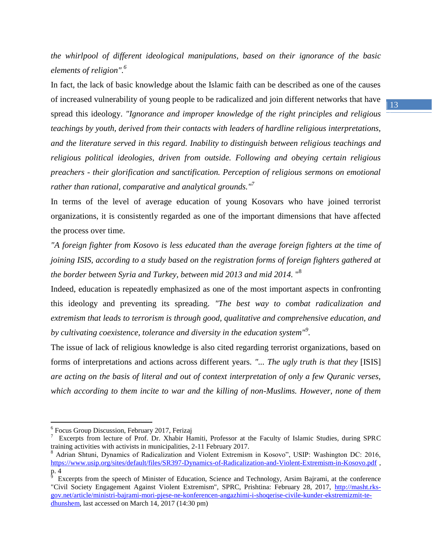*the whirlpool of different ideological manipulations, based on their ignorance of the basic elements of religion".<sup>6</sup>*

In fact, the lack of basic knowledge about the Islamic faith can be described as one of the causes of increased vulnerability of young people to be radicalized and join different networks that have spread this ideology. *"Ignorance and improper knowledge of the right principles and religious teachings by youth, derived from their contacts with leaders of hardline religious interpretations, and the literature served in this regard. Inability to distinguish between religious teachings and religious political ideologies, driven from outside. Following and obeying certain religious preachers - their glorification and sanctification. Perception of religious sermons on emotional rather than rational, comparative and analytical grounds."<sup>7</sup>*

In terms of the level of average education of young Kosovars who have joined terrorist organizations, it is consistently regarded as one of the important dimensions that have affected the process over time.

*"A foreign fighter from Kosovo is less educated than the average foreign fighters at the time of joining ISIS, according to a study based on the registration forms of foreign fighters gathered at the border between Syria and Turkey, between mid 2013 and mid 2014.* " 8

Indeed, education is repeatedly emphasized as one of the most important aspects in confronting this ideology and preventing its spreading. *"The best way to combat radicalization and extremism that leads to terrorism is through good, qualitative and comprehensive education, and by cultivating coexistence, tolerance and diversity in the education system"<sup>9</sup> .*

The issue of lack of religious knowledge is also cited regarding terrorist organizations, based on forms of interpretations and actions across different years. *"... The ugly truth is that they* [ISIS] *are acting on the basis of literal and out of context interpretation of only a few Quranic verses, which according to them incite to war and the killing of non-Muslims. However, none of them* 

 $\overline{a}$ 

<sup>&</sup>lt;sup>6</sup> Focus Group Discussion, February 2017, Ferizaj

<sup>&</sup>lt;sup>7</sup> Excerpts from lecture of Prof. Dr. Xhabir Hamiti, Professor at the Faculty of Islamic Studies, during SPRC training activities with activists in municipalities, 2-11 February 2017.

<sup>8</sup> Adrian Shtuni, Dynamics of Radicalization and Violent Extremism in Kosovo", USIP: Washington DC: 2016, <https://www.usip.org/sites/default/files/SR397-Dynamics-of-Radicalization-and-Violent-Extremism-in-Kosovo.pdf> ,  $\frac{p.4}{p}$ 

Excerpts from the speech of Minister of Education, Science and Technology, Arsim Bajrami, at the conference "Civil Society Engagement Against Violent Extremism", SPRC, Prishtina: February 28, 2017, [http://masht.rks](http://masht.rks-gov.net/article/ministri-bajrami-mori-pjese-ne-konferencen-angazhimi-i-shoqerise-civile-kunder-ekstremizmit-te-dhunshem)[gov.net/article/ministri-bajrami-mori-pjese-ne-konferencen-angazhimi-i-shoqerise-civile-kunder-ekstremizmit-te](http://masht.rks-gov.net/article/ministri-bajrami-mori-pjese-ne-konferencen-angazhimi-i-shoqerise-civile-kunder-ekstremizmit-te-dhunshem)[dhunshem,](http://masht.rks-gov.net/article/ministri-bajrami-mori-pjese-ne-konferencen-angazhimi-i-shoqerise-civile-kunder-ekstremizmit-te-dhunshem) last accessed on March 14, 2017 (14:30 pm)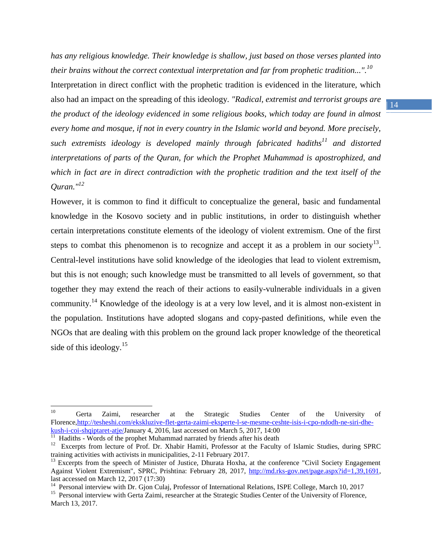*has any religious knowledge. Their knowledge is shallow, just based on those verses planted into their brains without the correct contextual interpretation and far from prophetic tradition...".<sup>10</sup>* Interpretation in direct conflict with the prophetic tradition is evidenced in the literature, which also had an impact on the spreading of this ideology. *"Radical, extremist and terrorist groups are the product of the ideology evidenced in some religious books, which today are found in almost every home and mosque, if not in every country in the Islamic world and beyond. More precisely, such extremists ideology is developed mainly through fabricated hadiths<sup>11</sup> and distorted interpretations of parts of the Quran, for which the Prophet Muhammad is apostrophized, and which in fact are in direct contradiction with the prophetic tradition and the text itself of the Quran."<sup>12</sup>*

However, it is common to find it difficult to conceptualize the general, basic and fundamental knowledge in the Kosovo society and in public institutions, in order to distinguish whether certain interpretations constitute elements of the ideology of violent extremism. One of the first steps to combat this phenomenon is to recognize and accept it as a problem in our society<sup>13</sup>. Central-level institutions have solid knowledge of the ideologies that lead to violent extremism, but this is not enough; such knowledge must be transmitted to all levels of government, so that together they may extend the reach of their actions to easily-vulnerable individuals in a given community.<sup>14</sup> Knowledge of the ideology is at a very low level, and it is almost non-existent in the population. Institutions have adopted slogans and copy-pasted definitions, while even the NGOs that are dealing with this problem on the ground lack proper knowledge of the theoretical side of this ideology.<sup>15</sup>

<sup>&</sup>lt;sup>10</sup> Gerta Zaimi, researcher at the Strategic Studies Center of the University of Florence[,http://tesheshi.com/ekskluzive-flet-gerta-zaimi-eksperte-l-se-mesme-ceshte-isis-i-cpo-ndodh-ne-siri-dhe](http://tesheshi.com/ekskluzive-flet-gerta-zaimi-eksperte-l-se-mesme-ceshte-isis-i-cpo-ndodh-ne-siri-dhe-kush-i-coi-shqiptaret-atje/)[kush-i-coi-shqiptaret-atje/J](http://tesheshi.com/ekskluzive-flet-gerta-zaimi-eksperte-l-se-mesme-ceshte-isis-i-cpo-ndodh-ne-siri-dhe-kush-i-coi-shqiptaret-atje/)anuary 4, 2016, last accessed on March 5, 2017, 14:00<sup>11</sup> Hadiths - Words of the prophet Muhammad narrated by friends after his death

<sup>&</sup>lt;sup>12</sup> Excerpts from lecture of Prof. Dr. Xhabir Hamiti, Professor at the Faculty of Islamic Studies, during SPRC training activities with activists in municipalities, 2-11 February 2017.

<sup>&</sup>lt;sup>13</sup> Excerpts from the speech of Minister of Justice, Dhurata Hoxha, at the conference "Civil Society Engagement Against Violent Extremism", SPRC, Prishtina: February 28, 2017, [http://md.rks-gov.net/page.aspx?id=1,39,1691,](http://md.rks-gov.net/page.aspx?id=1,39,1691) last accessed on March 12, 2017 (17:30)

<sup>&</sup>lt;sup>14</sup> Personal interview with Dr. Gjon Culaj, Professor of International Relations, ISPE College, March 10, 2017

<sup>&</sup>lt;sup>15</sup> Personal interview with Gerta Zaimi, researcher at the Strategic Studies Center of the University of Florence, March 13, 2017.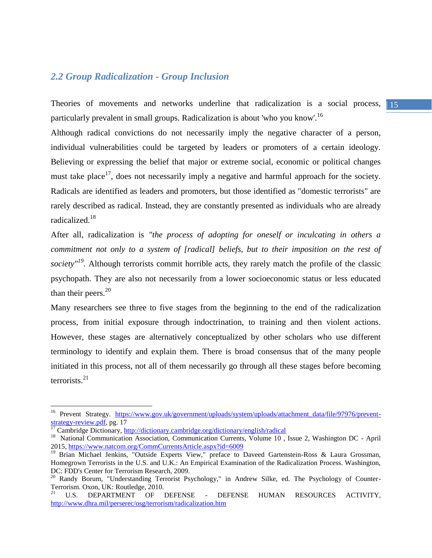#### <span id="page-14-0"></span>*2.2 Group Radicalization - Group Inclusion*

Theories of movements and networks underline that radicalization is a social process, 15 particularly prevalent in small groups. Radicalization is about 'who you know'.<sup>16</sup>

Although radical convictions do not necessarily imply the negative character of a person, individual vulnerabilities could be targeted by leaders or promoters of a certain ideology. Believing or expressing the belief that major or extreme social, economic or political changes must take place<sup>17</sup>, does not necessarily imply a negative and harmful approach for the society. Radicals are identified as leaders and promoters, but those identified as "domestic terrorists" are rarely described as radical. Instead, they are constantly presented as individuals who are already radicalized.<sup>18</sup>

After all, radicalization is *"the process of adopting for oneself or inculcating in others a commitment not only to a system of [radical] beliefs, but to their imposition on the rest of society"<sup>19</sup> .* Although terrorists commit horrible acts, they rarely match the profile of the classic psychopath. They are also not necessarily from a lower socioeconomic status or less educated than their peers. $20$ 

Many researchers see three to five stages from the beginning to the end of the radicalization process, from initial exposure through indoctrination, to training and then violent actions. However, these stages are alternatively conceptualized by other scholars who use different terminology to identify and explain them. There is broad consensus that of the many people initiated in this process, not all of them necessarily go through all these stages before becoming terrorists.<sup>21</sup>

<sup>&</sup>lt;sup>16</sup> Prevent Strategy. [https://www.gov.uk/government/uploads/system/uploads/attachment\\_data/file/97976/prevent](https://www.gov.uk/government/uploads/system/uploads/attachment_data/file/97976/prevent-strategy-review.pdf)[strategy-review.pdf,](https://www.gov.uk/government/uploads/system/uploads/attachment_data/file/97976/prevent-strategy-review.pdf) pg. 17

<sup>&</sup>lt;sup>17</sup> Cambridge Dictionary,<http://dictionary.cambridge.org/dictionary/english/radical>

<sup>&</sup>lt;sup>18</sup> National Communication Association, Communication Currents, Volume 10, Issue 2, Washington DC - April 2015,<https://www.natcom.org/CommCurrentsArticle.aspx?id=6009>

<sup>&</sup>lt;sup>19</sup> Brian Michael Jenkins, "Outside Experts View," preface to Daveed Gartenstein-Ross & Laura Grossman, Homegrown Terrorists in the U.S. and U.K.: An Empirical Examination of the Radicalization Process. Washington, DC: FDD's Center for Terrorism Research, 2009.

<sup>&</sup>lt;sup>20</sup> Randy Borum, "Understanding Terrorist Psychology," in Andrew Silke, ed. The Psychology of Counter-Terrorism. Oxon, UK: Routledge, 2010.

<sup>21</sup> U.S. DEPARTMENT OF DEFENSE - DEFENSE HUMAN RESOURCES ACTIVITY, <http://www.dhra.mil/perserec/osg/terrorism/radicalization.htm>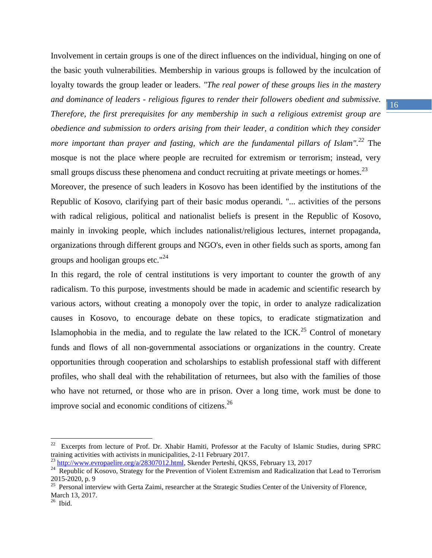Involvement in certain groups is one of the direct influences on the individual, hinging on one of the basic youth vulnerabilities. Membership in various groups is followed by the inculcation of loyalty towards the group leader or leaders. *"The real power of these groups lies in the mastery and dominance of leaders - religious figures to render their followers obedient and submissive. Therefore, the first prerequisites for any membership in such a religious extremist group are obedience and submission to orders arising from their leader, a condition which they consider more important than prayer and fasting, which are the fundamental pillars of Islam".<sup>22</sup>* The mosque is not the place where people are recruited for extremism or terrorism; instead, very small groups discuss these phenomena and conduct recruiting at private meetings or homes.<sup>23</sup>

Moreover, the presence of such leaders in Kosovo has been identified by the institutions of the Republic of Kosovo, clarifying part of their basic modus operandi. "... activities of the persons with radical religious, political and nationalist beliefs is present in the Republic of Kosovo, mainly in invoking people, which includes nationalist/religious lectures, internet propaganda, organizations through different groups and NGO's, even in other fields such as sports, among fan groups and hooligan groups etc."<sup>24</sup>

In this regard, the role of central institutions is very important to counter the growth of any radicalism. To this purpose, investments should be made in academic and scientific research by various actors, without creating a monopoly over the topic, in order to analyze radicalization causes in Kosovo, to encourage debate on these topics, to eradicate stigmatization and Islamophobia in the media, and to regulate the law related to the ICK.<sup>25</sup> Control of monetary funds and flows of all non-governmental associations or organizations in the country. Create opportunities through cooperation and scholarships to establish professional staff with different profiles, who shall deal with the rehabilitation of returnees, but also with the families of those who have not returned, or those who are in prison. Over a long time, work must be done to improve social and economic conditions of citizens.<sup>26</sup>

<sup>&</sup>lt;sup>22</sup> Excerpts from lecture of Prof. Dr. Xhabir Hamiti, Professor at the Faculty of Islamic Studies, during SPRC training activities with activists in municipalities, 2-11 February 2017.

<sup>&</sup>lt;sup>23</sup> [http://www.evropaelire.org/a/28307012.html,](http://www.evropaelire.org/a/28307012.html) Skender Perteshi, QKSS, February 13, 2017

<sup>&</sup>lt;sup>24</sup> Republic of Kosovo, Strategy for the Prevention of Violent Extremism and Radicalization that Lead to Terrorism 2015-2020, p. 9 25 Personal interview with Gerta Zaimi, researcher at the Strategic Studies Center of the University of Florence,

March 13, 2017.

 $26$  Ibid.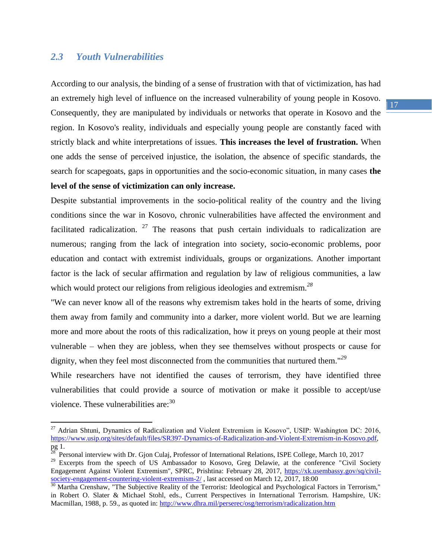#### <span id="page-16-0"></span>*2.3 Youth Vulnerabilities*

 $\overline{a}$ 

According to our analysis, the binding of a sense of frustration with that of victimization, has had an extremely high level of influence on the increased vulnerability of young people in Kosovo. Consequently, they are manipulated by individuals or networks that operate in Kosovo and the region. In Kosovo's reality, individuals and especially young people are constantly faced with strictly black and white interpretations of issues. **This increases the level of frustration.** When one adds the sense of perceived injustice, the isolation, the absence of specific standards, the search for scapegoats, gaps in opportunities and the socio-economic situation, in many cases **the level of the sense of victimization can only increase.**

Despite substantial improvements in the socio-political reality of the country and the living conditions since the war in Kosovo, chronic vulnerabilities have affected the environment and facilitated radicalization.  $27$  The reasons that push certain individuals to radicalization are numerous; ranging from the lack of integration into society, socio-economic problems, poor education and contact with extremist individuals, groups or organizations. Another important factor is the lack of secular affirmation and regulation by law of religious communities, a law which would protect our religions from religious ideologies and extremism.<sup>28</sup>

"We can never know all of the reasons why extremism takes hold in the hearts of some, driving them away from family and community into a darker, more violent world. But we are learning more and more about the roots of this radicalization, how it preys on young people at their most vulnerable – when they are jobless, when they see themselves without prospects or cause for dignity, when they feel most disconnected from the communities that nurtured them."*<sup>29</sup>*

While researchers have not identified the causes of terrorism, they have identified three vulnerabilities that could provide a source of motivation or make it possible to accept/use violence. These vulnerabilities are:<sup>30</sup>

<sup>&</sup>lt;sup>27</sup> Adrian Shtuni, Dynamics of Radicalization and Violent Extremism in Kosovo", USIP: Washington DC: 2016, [https://www.usip.org/sites/default/files/SR397-Dynamics-of-Radicalization-and-Violent-Extremism-in-Kosovo.pdf,](https://www.usip.org/sites/default/files/SR397-Dynamics-of-Radicalization-and-Violent-Extremism-in-Kosovo.pdf) pg 1.<br>28 p.

Personal interview with Dr. Gjon Culaj, Professor of International Relations, ISPE College, March 10, 2017

<sup>&</sup>lt;sup>29</sup> Excerpts from the speech of US Ambassador to Kosovo, Greg Delawie, at the conference "Civil Society Engagement Against Violent Extremism", SPRC, Prishtina: February 28, 2017, [https://xk.usembassy.gov/sq/civil](https://xk.usembassy.gov/sq/civil-society-engagement-countering-violent-extremism-2/)[society-engagement-countering-violent-extremism-2/](https://xk.usembassy.gov/sq/civil-society-engagement-countering-violent-extremism-2/), last accessed on March 12, 2017, 18:00

<sup>&</sup>lt;sup>30</sup> Martha Crenshaw, "The Subjective Reality of the Terrorist: Ideological and Psychological Factors in Terrorism," in Robert O. Slater & Michael Stohl, eds., Current Perspectives in International Terrorism. Hampshire, UK: Macmillan, 1988, p. 59., as quoted in:<http://www.dhra.mil/perserec/osg/terrorism/radicalization.htm>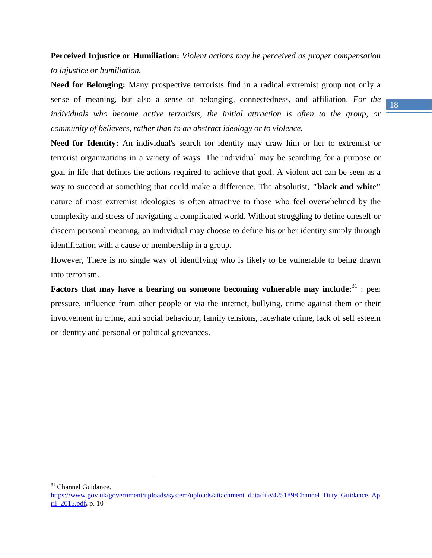**Perceived Injustice or Humiliation:** *Violent actions may be perceived as proper compensation to injustice or humiliation.* 

**Need for Belonging:** Many prospective terrorists find in a radical extremist group not only a sense of meaning, but also a sense of belonging, connectedness, and affiliation. *For the individuals who become active terrorists, the initial attraction is often to the group, or community of believers, rather than to an abstract ideology or to violence.*

**Need for Identity:** An individual's search for identity may draw him or her to extremist or terrorist organizations in a variety of ways. The individual may be searching for a purpose or goal in life that defines the actions required to achieve that goal. A violent act can be seen as a way to succeed at something that could make a difference. The absolutist, **"black and white"** nature of most extremist ideologies is often attractive to those who feel overwhelmed by the complexity and stress of navigating a complicated world. Without struggling to define oneself or discern personal meaning, an individual may choose to define his or her identity simply through identification with a cause or membership in a group.

However, There is no single way of identifying who is likely to be vulnerable to being drawn into terrorism.

Factors that may have a bearing on someone becoming vulnerable may include:<sup>31</sup> : peer pressure, influence from other people or via the internet, bullying, crime against them or their involvement in crime, anti social behaviour, family tensions, race/hate crime, lack of self esteem or identity and personal or political grievances.

<sup>31</sup> Channel Guidance.

 $\overline{a}$ 

[https://www.gov.uk/government/uploads/system/uploads/attachment\\_data/file/425189/Channel\\_Duty\\_Guidance\\_Ap](https://www.gov.uk/government/uploads/system/uploads/attachment_data/file/425189/Channel_Duty_Guidance_April_2015.pdf) [ril\\_2015.pdf](https://www.gov.uk/government/uploads/system/uploads/attachment_data/file/425189/Channel_Duty_Guidance_April_2015.pdf)**,** p. 10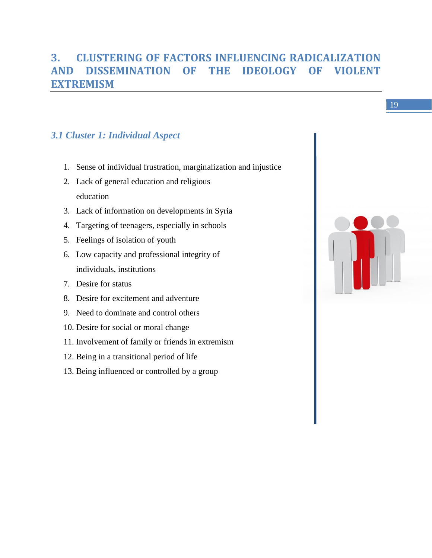# <span id="page-18-0"></span>**3. CLUSTERING OF FACTORS INFLUENCING RADICALIZATION AND DISSEMINATION OF THE IDEOLOGY OF VIOLENT EXTREMISM**

# <span id="page-18-1"></span>*3.1 Cluster 1: Individual Aspect*

- 1. Sense of individual frustration, marginalization and injustice
- 2. Lack of general education and religious education
- 3. Lack of information on developments in Syria
- 4. Targeting of teenagers, especially in schools
- 5. Feelings of isolation of youth
- 6. Low capacity and professional integrity of individuals, institutions
- 7. Desire for status
- 8. Desire for excitement and adventure
- 9. Need to dominate and control others
- 10. Desire for social or moral change
- 11. Involvement of family or friends in extremism
- 12. Being in a transitional period of life
- 13. Being influenced or controlled by a group

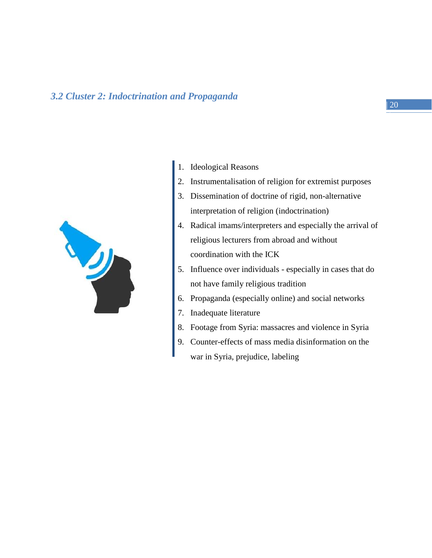### <span id="page-19-0"></span>*3.2 Cluster 2: Indoctrination and Propaganda*



- 1. Ideological Reasons
- 2. Instrumentalisation of religion for extremist purposes
- 3. Dissemination of doctrine of rigid, non-alternative interpretation of religion (indoctrination)
- 4. Radical imams/interpreters and especially the arrival of religious lecturers from abroad and without coordination with the ICK
- 5. Influence over individuals especially in cases that do not have family religious tradition
- 6. Propaganda (especially online) and social networks
- 7. Inadequate literature
- 8. Footage from Syria: massacres and violence in Syria
- 9. Counter-effects of mass media disinformation on the war in Syria, prejudice, labeling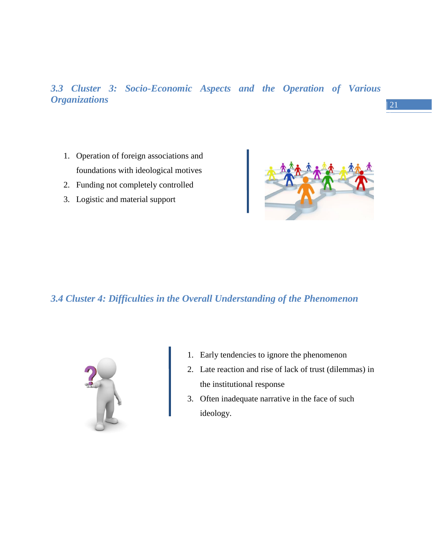<span id="page-20-0"></span>*3.3 Cluster 3: Socio-Economic Aspects and the Operation of Various Organizations* 

- 1. Operation of foreign associations and foundations with ideological motives
- 2. Funding not completely controlled
- 3. Logistic and material support



### <span id="page-20-1"></span>*3.4 Cluster 4: Difficulties in the Overall Understanding of the Phenomenon*



- 1. Early tendencies to ignore the phenomenon
- 2. Late reaction and rise of lack of trust (dilemmas) in the institutional response
- 3. Often inadequate narrative in the face of such ideology.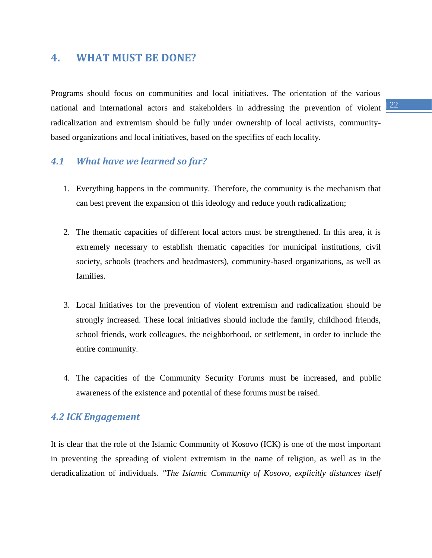## <span id="page-21-0"></span>**4. WHAT MUST BE DONE?**

national and international actors and stakeholders in addressing the prevention of violent  $\frac{22}{2}$ Programs should focus on communities and local initiatives. The orientation of the various radicalization and extremism should be fully under ownership of local activists, communitybased organizations and local initiatives, based on the specifics of each locality.

## <span id="page-21-1"></span>*4.1 What have we learned so far?*

- 1. Everything happens in the community. Therefore, the community is the mechanism that can best prevent the expansion of this ideology and reduce youth radicalization;
- 2. The thematic capacities of different local actors must be strengthened. In this area, it is extremely necessary to establish thematic capacities for municipal institutions, civil society, schools (teachers and headmasters), community-based organizations, as well as families.
- 3. Local Initiatives for the prevention of violent extremism and radicalization should be strongly increased. These local initiatives should include the family, childhood friends, school friends, work colleagues, the neighborhood, or settlement, in order to include the entire community.
- 4. The capacities of the Community Security Forums must be increased, and public awareness of the existence and potential of these forums must be raised.

#### <span id="page-21-2"></span>*4.2 ICK Engagement*

It is clear that the role of the Islamic Community of Kosovo (ICK) is one of the most important in preventing the spreading of violent extremism in the name of religion, as well as in the deradicalization of individuals. *"The Islamic Community of Kosovo, explicitly distances itself*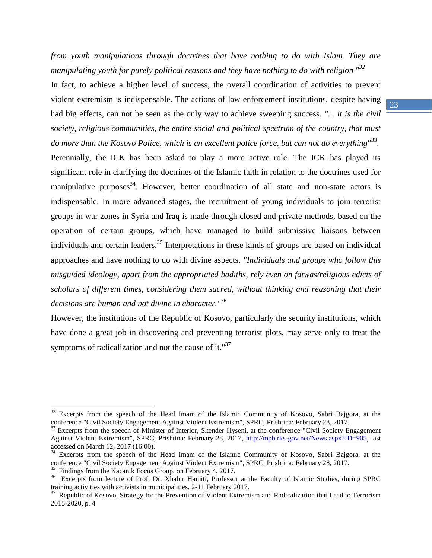*from youth manipulations through doctrines that have nothing to do with Islam. They are manipulating youth for purely political reasons and they have nothing to do with religion "<sup>32</sup>*

In fact, to achieve a higher level of success, the overall coordination of activities to prevent violent extremism is indispensable. The actions of law enforcement institutions, despite having had big effects, can not be seen as the only way to achieve sweeping success. *"... it is the civil society, religious communities, the entire social and political spectrum of the country, that must*  do more than the Kosovo Police, which is an excellent police force, but can not do everything"<sup>33</sup>.

Perennially, the ICK has been asked to play a more active role. The ICK has played its significant role in clarifying the doctrines of the Islamic faith in relation to the doctrines used for manipulative purposes<sup>34</sup>. However, better coordination of all state and non-state actors is indispensable. In more advanced stages, the recruitment of young individuals to join terrorist groups in war zones in Syria and Iraq is made through closed and private methods, based on the operation of certain groups, which have managed to build submissive liaisons between individuals and certain leaders.<sup>35</sup> Interpretations in these kinds of groups are based on individual approaches and have nothing to do with divine aspects. *"Individuals and groups who follow this misguided ideology, apart from the appropriated hadiths, rely even on fatwas/religious edicts of scholars of different times, considering them sacred, without thinking and reasoning that their decisions are human and not divine in character."<sup>36</sup>*

However, the institutions of the Republic of Kosovo, particularly the security institutions, which have done a great job in discovering and preventing terrorist plots, may serve only to treat the symptoms of radicalization and not the cause of it."<sup>37</sup>

 $\overline{a}$ 

<sup>&</sup>lt;sup>32</sup> Excerpts from the speech of the Head Imam of the Islamic Community of Kosovo, Sabri Bajgora, at the conference "Civil Society Engagement Against Violent Extremism", SPRC, Prishtina: February 28, 2017.

<sup>&</sup>lt;sup>33</sup> Excerpts from the speech of Minister of Interior, Skender Hyseni, at the conference "Civil Society Engagement Against Violent Extremism", SPRC, Prishtina: February 28, 2017, [http://mpb.rks-gov.net/News.aspx?ID=905,](http://mpb.rks-gov.net/News.aspx?ID=905) last accessed on March 12, 2017 (16:00).

<sup>&</sup>lt;sup>34</sup> Excerpts from the speech of the Head Imam of the Islamic Community of Kosovo, Sabri Bajgora, at the conference "Civil Society Engagement Against Violent Extremism", SPRC, Prishtina: February 28, 2017.

<sup>&</sup>lt;sup>35</sup> Findings from the Kacanik Focus Group, on February 4, 2017.

<sup>&</sup>lt;sup>36</sup> Excerpts from lecture of Prof. Dr. Xhabir Hamiti, Professor at the Faculty of Islamic Studies, during SPRC training activities with activists in municipalities, 2-11 February 2017.

<sup>&</sup>lt;sup>37</sup> Republic of Kosovo, Strategy for the Prevention of Violent Extremism and Radicalization that Lead to Terrorism 2015-2020, p. 4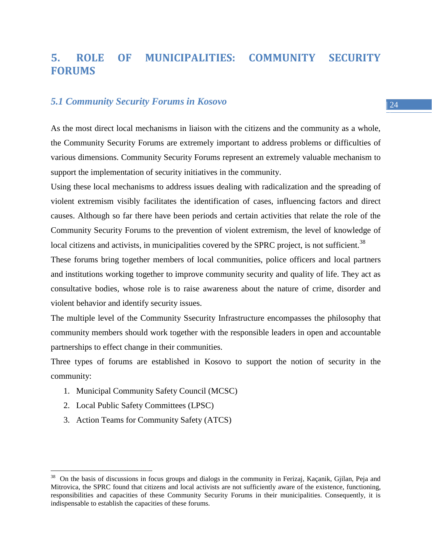# <span id="page-23-0"></span>**5. ROLE OF MUNICIPALITIES: COMMUNITY SECURITY FORUMS**

### <span id="page-23-1"></span>*5.1 Community Security Forums in Kosovo*

As the most direct local mechanisms in liaison with the citizens and the community as a whole, the Community Security Forums are extremely important to address problems or difficulties of various dimensions. Community Security Forums represent an extremely valuable mechanism to support the implementation of security initiatives in the community.

Using these local mechanisms to address issues dealing with radicalization and the spreading of violent extremism visibly facilitates the identification of cases, influencing factors and direct causes. Although so far there have been periods and certain activities that relate the role of the Community Security Forums to the prevention of violent extremism, the level of knowledge of local citizens and activists, in municipalities covered by the SPRC project, is not sufficient.<sup>38</sup>

These forums bring together members of local communities, police officers and local partners and institutions working together to improve community security and quality of life. They act as consultative bodies, whose role is to raise awareness about the nature of crime, disorder and violent behavior and identify security issues.

The multiple level of the Community Ssecurity Infrastructure encompasses the philosophy that community members should work together with the responsible leaders in open and accountable partnerships to effect change in their communities.

Three types of forums are established in Kosovo to support the notion of security in the community:

- 1. Municipal Community Safety Council (MCSC)
- 2. Local Public Safety Committees (LPSC)

 $\overline{a}$ 

3. Action Teams for Community Safety (ATCS)

<sup>&</sup>lt;sup>38</sup> On the basis of discussions in focus groups and dialogs in the community in Ferizaj, Kaçanik, Gjilan, Peja and Mitrovica, the SPRC found that citizens and local activists are not sufficiently aware of the existence, functioning, responsibilities and capacities of these Community Security Forums in their municipalities. Consequently, it is indispensable to establish the capacities of these forums.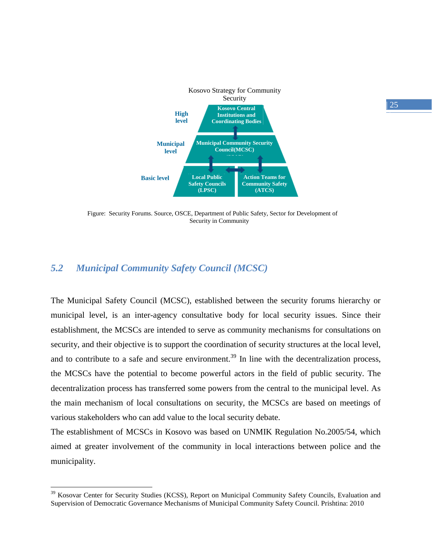

Figure: Security Forums. Source, OSCE, Department of Public Safety, Sector for Development of Security in Community

## <span id="page-24-0"></span>*5.2 Municipal Community Safety Council (MCSC)*

 $\overline{a}$ 

The Municipal Safety Council (MCSC), established between the security forums hierarchy or municipal level, is an inter-agency consultative body for local security issues. Since their establishment, the MCSCs are intended to serve as community mechanisms for consultations on security, and their objective is to support the coordination of security structures at the local level, and to contribute to a safe and secure environment.<sup>39</sup> In line with the decentralization process, the MCSCs have the potential to become powerful actors in the field of public security. The decentralization process has transferred some powers from the central to the municipal level. As the main mechanism of local consultations on security, the MCSCs are based on meetings of various stakeholders who can add value to the local security debate.

The establishment of MCSCs in Kosovo was based on UNMIK Regulation No.2005/54, which aimed at greater involvement of the community in local interactions between police and the municipality.

<sup>&</sup>lt;sup>39</sup> Kosovar Center for Security Studies (KCSS), Report on Municipal Community Safety Councils, Evaluation and Supervision of Democratic Governance Mechanisms of Municipal Community Safety Council. Prishtina: 2010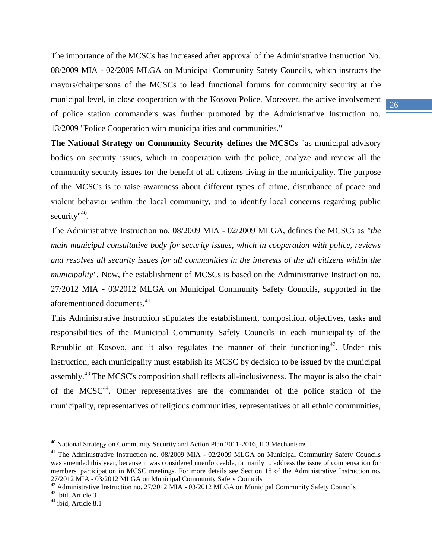The importance of the MCSCs has increased after approval of the Administrative Instruction No. 08/2009 MIA - 02/2009 MLGA on Municipal Community Safety Councils, which instructs the mayors/chairpersons of the MCSCs to lead functional forums for community security at the municipal level, in close cooperation with the Kosovo Police. Moreover, the active involvement of police station commanders was further promoted by the Administrative Instruction no. 13/2009 "Police Cooperation with municipalities and communities."

**The National Strategy on Community Security defines the MCSCs** "as municipal advisory bodies on security issues, which in cooperation with the police, analyze and review all the community security issues for the benefit of all citizens living in the municipality. The purpose of the MCSCs is to raise awareness about different types of crime, disturbance of peace and violent behavior within the local community, and to identify local concerns regarding public security"<sup>40</sup>.

The Administrative Instruction no. 08/2009 MIA - 02/2009 MLGA, defines the MCSCs as *"the main municipal consultative body for security issues, which in cooperation with police, reviews and resolves all security issues for all communities in the interests of the all citizens within the municipality".* Now, the establishment of MCSCs is based on the Administrative Instruction no. 27/2012 MIA - 03/2012 MLGA on Municipal Community Safety Councils, supported in the aforementioned documents.<sup>41</sup>

This Administrative Instruction stipulates the establishment, composition, objectives, tasks and responsibilities of the Municipal Community Safety Councils in each municipality of the Republic of Kosovo, and it also regulates the manner of their functioning<sup>42</sup>. Under this instruction, each municipality must establish its MCSC by decision to be issued by the municipal assembly.<sup>43</sup> The MCSC's composition shall reflects all-inclusiveness. The mayor is also the chair of the MCSC $44$ . Other representatives are the commander of the police station of the municipality, representatives of religious communities, representatives of all ethnic communities,

 $^{40}$  National Strategy on Community Security and Action Plan 2011-2016, II.3 Mechanisms

<sup>&</sup>lt;sup>41</sup> The Administrative Instruction no. 08/2009 MIA - 02/2009 MLGA on Municipal Community Safety Councils was amended this year, because it was considered unenforceable, primarily to address the issue of compensation for members' participation in MCSC meetings. For more details see Section 18 of the Administrative Instruction no. 27/2012 MIA - 03/2012 MLGA on Municipal Community Safety Councils

<sup>42</sup> Administrative Instruction no. 27/2012 MIA - 03/2012 MLGA on Municipal Community Safety Councils

 $43$  ibid, Article 3

<sup>&</sup>lt;sup>44</sup> ibid, Article 8.1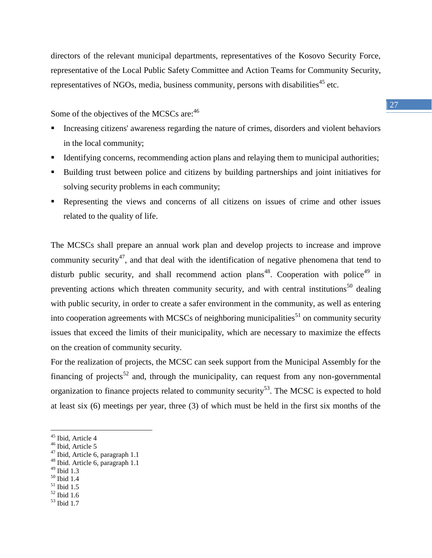directors of the relevant municipal departments, representatives of the Kosovo Security Force, representative of the Local Public Safety Committee and Action Teams for Community Security, representatives of NGOs, media, business community, persons with disabilities<sup>45</sup> etc.

Some of the objectives of the MCSCs are:  $46$ 

- Increasing citizens' awareness regarding the nature of crimes, disorders and violent behaviors in the local community;
- Identifying concerns, recommending action plans and relaying them to municipal authorities;
- Building trust between police and citizens by building partnerships and joint initiatives for solving security problems in each community;
- Representing the views and concerns of all citizens on issues of crime and other issues related to the quality of life.

The MCSCs shall prepare an annual work plan and develop projects to increase and improve community security<sup>47</sup>, and that deal with the identification of negative phenomena that tend to disturb public security, and shall recommend action plans<sup>48</sup>. Cooperation with police<sup>49</sup> in preventing actions which threaten community security, and with central institutions<sup>50</sup> dealing with public security, in order to create a safer environment in the community, as well as entering into cooperation agreements with MCSCs of neighboring municipalities<sup>51</sup> on community security issues that exceed the limits of their municipality, which are necessary to maximize the effects on the creation of community security.

For the realization of projects, the MCSC can seek support from the Municipal Assembly for the financing of projects<sup>52</sup> and, through the municipality, can request from any non-governmental organization to finance projects related to community security<sup>53</sup>. The MCSC is expected to hold at least six (6) meetings per year, three (3) of which must be held in the first six months of the

<sup>49</sup> Ibid 1.3

- <sup>50</sup> Ibid 1.4
- $51$  Ibid 1.5
- $52$  Ibid 1.6
- <sup>53</sup> Ibid 1.7

<sup>45</sup> Ibid, Article 4

<sup>&</sup>lt;sup>46</sup> Ibid, Article 5

<sup>47</sup> Ibid, Article 6, paragraph 1.1

<sup>48</sup> Ibid. Article 6, paragraph 1.1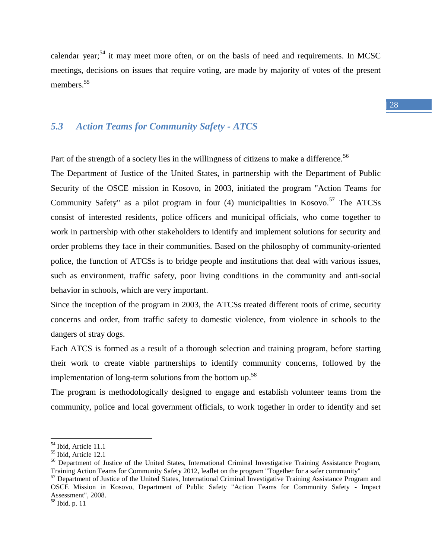calendar year;<sup>54</sup> it may meet more often, or on the basis of need and requirements. In MCSC meetings, decisions on issues that require voting, are made by majority of votes of the present members.<sup>55</sup>

### <span id="page-27-0"></span>*5.3 Action Teams for Community Safety - ATCS*

Part of the strength of a society lies in the willingness of citizens to make a difference.<sup>56</sup>

The Department of Justice of the United States, in partnership with the Department of Public Security of the OSCE mission in Kosovo, in 2003, initiated the program "Action Teams for Community Safety" as a pilot program in four  $(4)$  municipalities in Kosovo.<sup>57</sup> The ATCSs consist of interested residents, police officers and municipal officials, who come together to work in partnership with other stakeholders to identify and implement solutions for security and order problems they face in their communities. Based on the philosophy of community-oriented police, the function of ATCSs is to bridge people and institutions that deal with various issues, such as environment, traffic safety, poor living conditions in the community and anti-social behavior in schools, which are very important.

Since the inception of the program in 2003, the ATCSs treated different roots of crime, security concerns and order, from traffic safety to domestic violence, from violence in schools to the dangers of stray dogs.

Each ATCS is formed as a result of a thorough selection and training program, before starting their work to create viable partnerships to identify community concerns, followed by the implementation of long-term solutions from the bottom up.<sup>58</sup>

The program is methodologically designed to engage and establish volunteer teams from the community, police and local government officials, to work together in order to identify and set

<sup>54</sup> Ibid, Article 11.1

<sup>55</sup> Ibid, Article 12.1

<sup>&</sup>lt;sup>56</sup> Department of Justice of the United States, International Criminal Investigative Training Assistance Program, Training Action Teams for Community Safety 2012, leaflet on the program "Together for a safer community"

<sup>&</sup>lt;sup>57</sup> Department of Justice of the United States, International Criminal Investigative Training Assistance Program and OSCE Mission in Kosovo, Department of Public Safety "Action Teams for Community Safety - Impact Assessment", 2008.

 $58$  Ibid. p. 11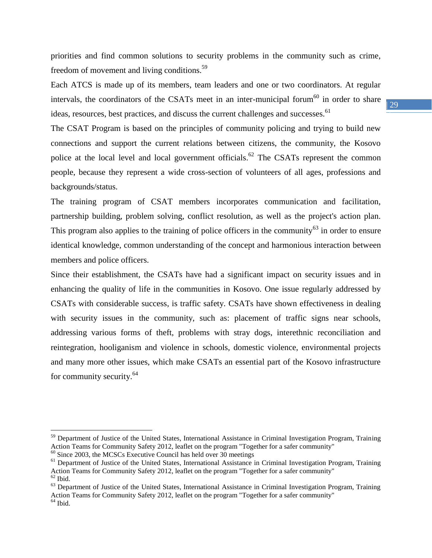priorities and find common solutions to security problems in the community such as crime, freedom of movement and living conditions.<sup>59</sup>

Each ATCS is made up of its members, team leaders and one or two coordinators. At regular intervals, the coordinators of the CSATs meet in an inter-municipal forum<sup>60</sup> in order to share ideas, resources, best practices, and discuss the current challenges and successes.<sup>61</sup>

The CSAT Program is based on the principles of community policing and trying to build new connections and support the current relations between citizens, the community, the Kosovo police at the local level and local government officials.<sup>62</sup> The CSATs represent the common people, because they represent a wide cross-section of volunteers of all ages, professions and backgrounds/status.

The training program of CSAT members incorporates communication and facilitation, partnership building, problem solving, conflict resolution, as well as the project's action plan. This program also applies to the training of police officers in the community<sup>63</sup> in order to ensure identical knowledge, common understanding of the concept and harmonious interaction between members and police officers.

Since their establishment, the CSATs have had a significant impact on security issues and in enhancing the quality of life in the communities in Kosovo. One issue regularly addressed by CSATs with considerable success, is traffic safety. CSATs have shown effectiveness in dealing with security issues in the community, such as: placement of traffic signs near schools, addressing various forms of theft, problems with stray dogs, interethnic reconciliation and reintegration, hooliganism and violence in schools, domestic violence, environmental projects and many more other issues, which make CSATs an essential part of the Kosovo infrastructure for community security.<sup>64</sup>

 $\overline{a}$ 

<sup>&</sup>lt;sup>59</sup> Department of Justice of the United States, International Assistance in Criminal Investigation Program, Training Action Teams for Community Safety 2012, leaflet on the program "Together for a safer community"

 $60$  Since 2003, the MCSCs Executive Council has held over 30 meetings

<sup>&</sup>lt;sup>61</sup> Department of Justice of the United States, International Assistance in Criminal Investigation Program, Training Action Teams for Community Safety 2012, leaflet on the program "Together for a safer community"  $62$  Ibid.

 $63$  Department of Justice of the United States, International Assistance in Criminal Investigation Program, Training Action Teams for Community Safety 2012, leaflet on the program "Together for a safer community"  $<sup>64</sup>$  Ibid.</sup>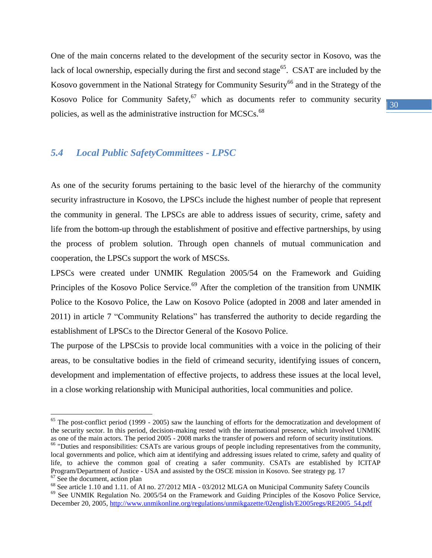One of the main concerns related to the development of the security sector in Kosovo, was the lack of local ownership, especially during the first and second stage<sup>65</sup>. CSAT are included by the Kosovo government in the National Strategy for Community Sesurity<sup>66</sup> and in the Strategy of the Kosovo Police for Community Safety,  $67$  which as documents refer to community security policies, as well as the administrative instruction for MCSCs.<sup>68</sup>

# <span id="page-29-0"></span>*5.4 Local Public SafetyCommittees - LPSC*

 $\overline{a}$ 

As one of the security forums pertaining to the basic level of the hierarchy of the community security infrastructure in Kosovo, the LPSCs include the highest number of people that represent the community in general. The LPSCs are able to address issues of security, crime, safety and life from the bottom-up through the establishment of positive and effective partnerships, by using the process of problem solution. Through open channels of mutual communication and cooperation, the LPSCs support the work of MSCSs.

LPSCs were created under UNMIK Regulation 2005/54 on the Framework and Guiding Principles of the Kosovo Police Service.<sup>69</sup> After the completion of the transition from UNMIK Police to the Kosovo Police, the Law on Kosovo Police (adopted in 2008 and later amended in 2011) in article 7 "Community Relations" has transferred the authority to decide regarding the establishment of LPSCs to the Director General of the Kosovo Police.

The purpose of the LPSCsis to provide local communities with a voice in the policing of their areas, to be consultative bodies in the field of crimeand security, identifying issues of concern, development and implementation of effective projects, to address these issues at the local level, in a close working relationship with Municipal authorities, local communities and police.

 $65$  The post-conflict period (1999 - 2005) saw the launching of efforts for the democratization and development of the security sector. In this period, decision-making rested with the international presence, which involved UNMIK as one of the main actors. The period 2005 - 2008 marks the transfer of powers and reform of security institutions.

<sup>&</sup>lt;sup>66</sup> "Duties and responsibilities: CSATs are various groups of people including representatives from the community, local governments and police, which aim at identifying and addressing issues related to crime, safety and quality of life, to achieve the common goal of creating a safer community. CSATs are established by ICITAP Program/Department of Justice - USA and assisted by the OSCE mission in Kosovo. See strategy pg. 17 <sup>67</sup> See the document, action plan

<sup>&</sup>lt;sup>68</sup> See article 1.10 and 1.11. of AI no. 27/2012 MIA - 03/2012 MLGA on Municipal Community Safety Councils

<sup>69</sup> See UNMIK Regulation No. 2005/54 on the Framework and Guiding Principles of the Kosovo Police Service, December 20, 2005[, http://www.unmikonline.org/regulations/unmikgazette/02english/E2005regs/RE2005\\_54.pdf](http://www.unmikonline.org/regulations/unmikgazette/02english/E2005regs/RE2005_54.pdf)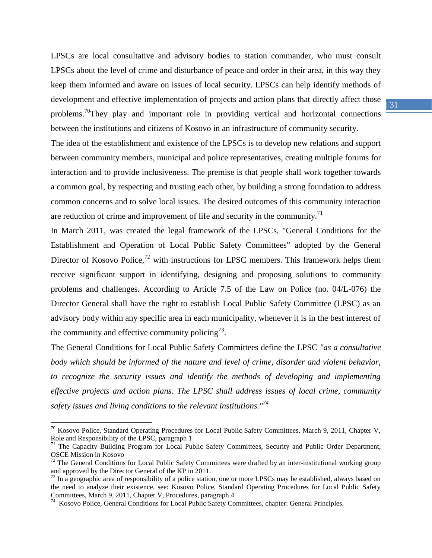LPSCs are local consultative and advisory bodies to station commander, who must consult LPSCs about the level of crime and disturbance of peace and order in their area, in this way they keep them informed and aware on issues of local security. LPSCs can help identify methods of development and effective implementation of projects and action plans that directly affect those problems.<sup>70</sup>They play and important role in providing vertical and horizontal connections between the institutions and citizens of Kosovo in an infrastructure of community security.

The idea of the establishment and existence of the LPSCs is to develop new relations and support between community members, municipal and police representatives, creating multiple forums for interaction and to provide inclusiveness. The premise is that people shall work together towards a common goal, by respecting and trusting each other, by building a strong foundation to address common concerns and to solve local issues. The desired outcomes of this community interaction are reduction of crime and improvement of life and security in the community.<sup>71</sup>

In March 2011, was created the legal framework of the LPSCs, "General Conditions for the Establishment and Operation of Local Public Safety Committees" adopted by the General Director of Kosovo Police,<sup>72</sup> with instructions for LPSC members. This framework helps them receive significant support in identifying, designing and proposing solutions to community problems and challenges. According to Article 7.5 of the Law on Police (no. 04/L-076) the Director General shall have the right to establish Local Public Safety Committee (LPSC) as an advisory body within any specific area in each municipality, whenever it is in the best interest of the community and effective community policing<sup>73</sup>.

The General Conditions for Local Public Safety Committees define the LPSC *"as a consultative body which should be informed of the nature and level of crime, disorder and violent behavior, to recognize the security issues and identify the methods of developing and implementing effective projects and action plans. The LPSC shall address issues of local crime, community safety issues and living conditions to the relevant institutions."<sup>74</sup>*

 $\overline{a}$ 

 $70$  Kosovo Police, Standard Operating Procedures for Local Public Safety Committees, March 9, 2011, Chapter V, Role and Responsibility of the LPSC, paragraph 1

<sup>&</sup>lt;sup>71</sup> The Capacity Building Program for Local Public Safety Committees, Security and Public Order Department, OSCE Mission in Kosovo

 $72$  The General Conditions for Local Public Safety Committees were drafted by an inter-institutional working group and approved by the Director General of the KP in 2011.

 $<sup>73</sup>$  In a geographic area of responsibility of a police station, one or more LPSCs may be established, always based on</sup> the need to analyze their existence, see: Kosovo Police, Standard Operating Procedures for Local Public Safety Committees, March 9, 2011, Chapter V, Procedures, paragraph 4

<sup>&</sup>lt;sup>74</sup> Kosovo Police, General Conditions for Local Public Safety Committees, chapter: General Principles.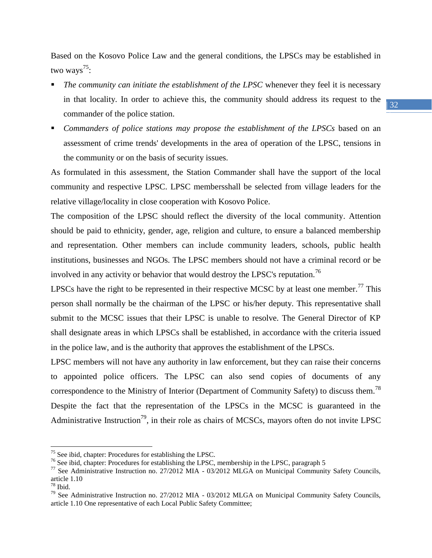Based on the Kosovo Police Law and the general conditions, the LPSCs may be established in two ways $^{75}$ :

- *The community can initiate the establishment of the LPSC* whenever they feel it is necessary in that locality. In order to achieve this, the community should address its request to the commander of the police station.
- *Commanders of police stations may propose the establishment of the LPSCs* based on an assessment of crime trends' developments in the area of operation of the LPSC, tensions in the community or on the basis of security issues.

As formulated in this assessment, the Station Commander shall have the support of the local community and respective LPSC. LPSC membersshall be selected from village leaders for the relative village/locality in close cooperation with Kosovo Police.

The composition of the LPSC should reflect the diversity of the local community. Attention should be paid to ethnicity, gender, age, religion and culture, to ensure a balanced membership and representation. Other members can include community leaders, schools, public health institutions, businesses and NGOs. The LPSC members should not have a criminal record or be involved in any activity or behavior that would destroy the LPSC's reputation.<sup>76</sup>

LPSCs have the right to be represented in their respective MCSC by at least one member.<sup>77</sup> This person shall normally be the chairman of the LPSC or his/her deputy. This representative shall submit to the MCSC issues that their LPSC is unable to resolve. The General Director of KP shall designate areas in which LPSCs shall be established, in accordance with the criteria issued in the police law, and is the authority that approves the establishment of the LPSCs.

LPSC members will not have any authority in law enforcement, but they can raise their concerns to appointed police officers. The LPSC can also send copies of documents of any correspondence to the Ministry of Interior (Department of Community Safety) to discuss them.<sup>78</sup> Despite the fact that the representation of the LPSCs in the MCSC is guaranteed in the Administrative Instruction<sup>79</sup>, in their role as chairs of MCSCs, mayors often do not invite LPSC

 $\overline{a}$ 

<sup>&</sup>lt;sup>75</sup> See ibid, chapter: Procedures for establishing the LPSC.

<sup>&</sup>lt;sup>76</sup> See ibid, chapter: Procedures for establishing the LPSC, membership in the LPSC, paragraph 5

<sup>77</sup> See Administrative Instruction no. 27/2012 MIA - 03/2012 MLGA on Municipal Community Safety Councils, article 1.10

 $78$  Ibid.

 $79$  See Administrative Instruction no. 27/2012 MIA - 03/2012 MLGA on Municipal Community Safety Councils, article 1.10 One representative of each Local Public Safety Committee;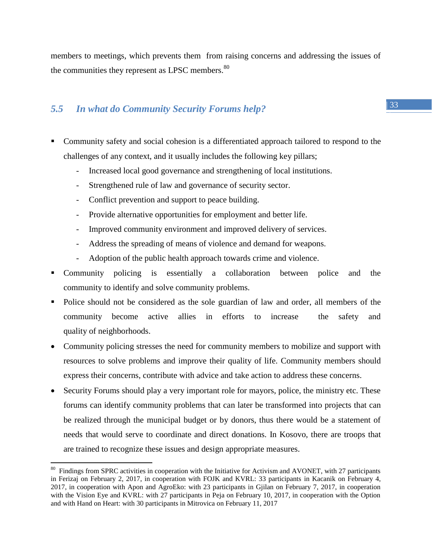members to meetings, which prevents them from raising concerns and addressing the issues of the communities they represent as LPSC members.<sup>80</sup>

## <span id="page-32-0"></span>*5.5 In what do Community Security Forums help?*

- Community safety and social cohesion is a differentiated approach tailored to respond to the challenges of any context, and it usually includes the following key pillars;
	- Increased local good governance and strengthening of local institutions.
	- Strengthened rule of law and governance of security sector.
	- Conflict prevention and support to peace building.
	- Provide alternative opportunities for employment and better life.
	- Improved community environment and improved delivery of services.
	- Address the spreading of means of violence and demand for weapons.
	- Adoption of the public health approach towards crime and violence.
- Community policing is essentially a collaboration between police and the community to identify and solve community problems.
- Police should not be considered as the sole guardian of law and order, all members of the community become active allies in efforts to increase the safety and quality of neighborhoods.
- Community policing stresses the need for community members to mobilize and support with resources to solve problems and improve their quality of life. Community members should express their concerns, contribute with advice and take action to address these concerns.
- Security Forums should play a very important role for mayors, police, the ministry etc. These forums can identify community problems that can later be transformed into projects that can be realized through the municipal budget or by donors, thus there would be a statement of needs that would serve to coordinate and direct donations. In Kosovo, there are troops that are trained to recognize these issues and design appropriate measures.

<sup>&</sup>lt;sup>80</sup> Findings from SPRC activities in cooperation with the Initiative for Activism and AVONET, with 27 participants in Ferizaj on February 2, 2017, in cooperation with FOJK and KVRL: 33 participants in Kacanik on February 4, 2017, in cooperation with Apon and AgroEko: with 23 participants in Gjilan on February 7, 2017, in cooperation with the Vision Eye and KVRL: with 27 participants in Peja on February 10, 2017, in cooperation with the Option and with Hand on Heart: with 30 participants in Mitrovica on February 11, 2017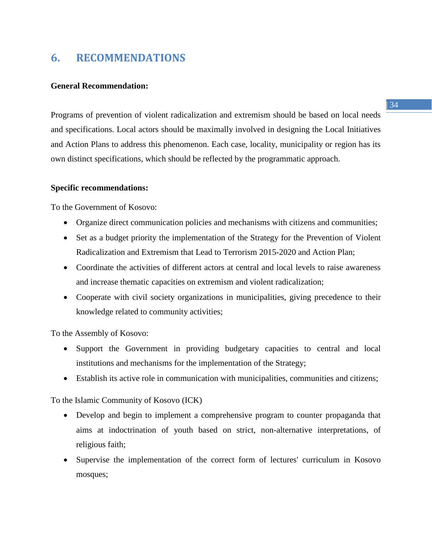# <span id="page-33-0"></span>**6. RECOMMENDATIONS**

#### **General Recommendation:**

Programs of prevention of violent radicalization and extremism should be based on local needs and specifications. Local actors should be maximally involved in designing the Local Initiatives and Action Plans to address this phenomenon. Each case, locality, municipality or region has its own distinct specifications, which should be reflected by the programmatic approach.

#### **Specific recommendations:**

To the Government of Kosovo:

- Organize direct communication policies and mechanisms with citizens and communities;
- Set as a budget priority the implementation of the Strategy for the Prevention of Violent Radicalization and Extremism that Lead to Terrorism 2015-2020 and Action Plan;
- Coordinate the activities of different actors at central and local levels to raise awareness and increase thematic capacities on extremism and violent radicalization;
- Cooperate with civil society organizations in municipalities, giving precedence to their knowledge related to community activities;

To the Assembly of Kosovo:

- Support the Government in providing budgetary capacities to central and local institutions and mechanisms for the implementation of the Strategy;
- Establish its active role in communication with municipalities, communities and citizens;

To the Islamic Community of Kosovo (ICK)

- Develop and begin to implement a comprehensive program to counter propaganda that aims at indoctrination of youth based on strict, non-alternative interpretations, of religious faith;
- Supervise the implementation of the correct form of lectures' curriculum in Kosovo mosques;

#### $| 34 |$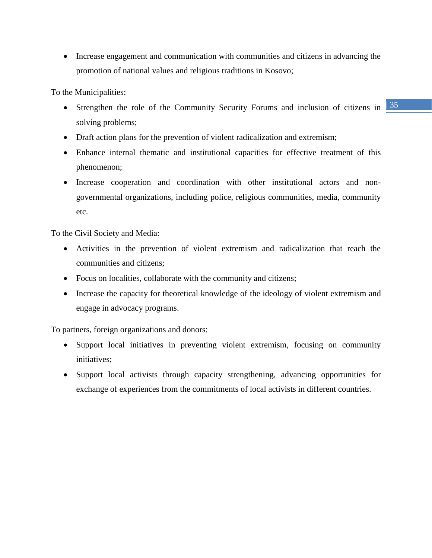• Increase engagement and communication with communities and citizens in advancing the promotion of national values and religious traditions in Kosovo;

To the Municipalities:

- Strengthen the role of the Community Security Forums and inclusion of citizens in  $\frac{35}{35}$ solving problems;
- Draft action plans for the prevention of violent radicalization and extremism;
- Enhance internal thematic and institutional capacities for effective treatment of this phenomenon;
- Increase cooperation and coordination with other institutional actors and nongovernmental organizations, including police, religious communities, media, community etc.

To the Civil Society and Media:

- Activities in the prevention of violent extremism and radicalization that reach the communities and citizens;
- Focus on localities, collaborate with the community and citizens;
- Increase the capacity for theoretical knowledge of the ideology of violent extremism and engage in advocacy programs.

To partners, foreign organizations and donors:

- Support local initiatives in preventing violent extremism, focusing on community initiatives;
- Support local activists through capacity strengthening, advancing opportunities for exchange of experiences from the commitments of local activists in different countries.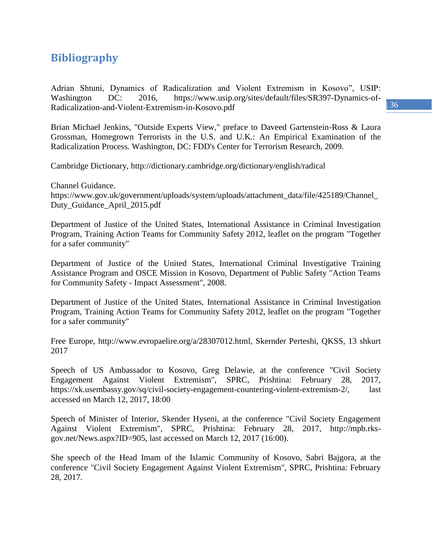# <span id="page-35-0"></span>**Bibliography**

Adrian Shtuni, Dynamics of Radicalization and Violent Extremism in Kosovo", USIP: Washington DC: 2016, https://www.usip.org/sites/default/files/SR397-Dynamics-of-Radicalization-and-Violent-Extremism-in-Kosovo.pdf

Brian Michael Jenkins, "Outside Experts View," preface to Daveed Gartenstein-Ross & Laura Grossman, Homegrown Terrorists in the U.S. and U.K.: An Empirical Examination of the Radicalization Process. Washington, DC: FDD's Center for Terrorism Research, 2009.

Cambridge Dictionary, http://dictionary.cambridge.org/dictionary/english/radical

Channel Guidance. https://www.gov.uk/government/uploads/system/uploads/attachment\_data/file/425189/Channel\_ Duty\_Guidance\_April\_2015.pdf

Department of Justice of the United States, International Assistance in Criminal Investigation Program, Training Action Teams for Community Safety 2012, leaflet on the program "Together for a safer community"

Department of Justice of the United States, International Criminal Investigative Training Assistance Program and OSCE Mission in Kosovo, Department of Public Safety "Action Teams for Community Safety - Impact Assessment", 2008.

Department of Justice of the United States, International Assistance in Criminal Investigation Program, Training Action Teams for Community Safety 2012, leaflet on the program "Together for a safer community"

Free Europe, http://www.evropaelire.org/a/28307012.html, Skernder Perteshi, QKSS, 13 shkurt 2017

Speech of US Ambassador to Kosovo, Greg Delawie, at the conference "Civil Society Engagement Against Violent Extremism", SPRC, Prishtina: February 28, 2017, https://xk.usembassy.gov/sq/civil-society-engagement-countering-violent-extremism-2/, last accessed on March 12, 2017, 18:00

Speech of Minister of Interior, Skender Hyseni, at the conference "Civil Society Engagement Against Violent Extremism", SPRC, Prishtina: February 28, 2017, http://mpb.rksgov.net/News.aspx?ID=905, last accessed on March 12, 2017 (16:00).

She speech of the Head Imam of the Islamic Community of Kosovo, Sabri Bajgora, at the conference "Civil Society Engagement Against Violent Extremism", SPRC, Prishtina: February 28, 2017.

 $| 36 |$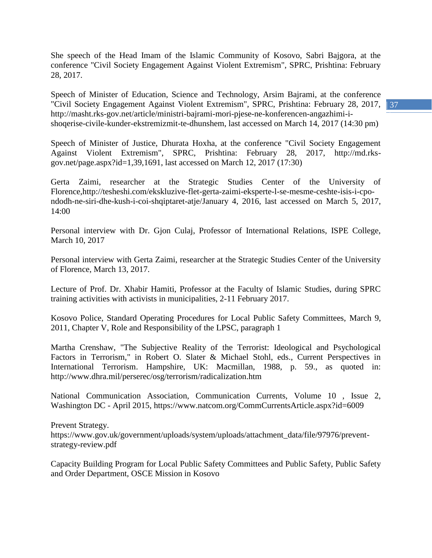She speech of the Head Imam of the Islamic Community of Kosovo, Sabri Bajgora, at the conference "Civil Society Engagement Against Violent Extremism", SPRC, Prishtina: February 28, 2017.

"Civil Society Engagement Against Violent Extremism", SPRC, Prishtina: February 28, 2017, 137 Speech of Minister of Education, Science and Technology, Arsim Bajrami, at the conference http://masht.rks-gov.net/article/ministri-bajrami-mori-pjese-ne-konferencen-angazhimi-ishoqerise-civile-kunder-ekstremizmit-te-dhunshem, last accessed on March 14, 2017 (14:30 pm)

Speech of Minister of Justice, Dhurata Hoxha, at the conference "Civil Society Engagement Against Violent Extremism", SPRC, Prishtina: February 28, 2017, http://md.rksgov.net/page.aspx?id=1,39,1691, last accessed on March 12, 2017 (17:30)

Gerta Zaimi, researcher at the Strategic Studies Center of the University of Florence,http://tesheshi.com/ekskluzive-flet-gerta-zaimi-eksperte-l-se-mesme-ceshte-isis-i-cpondodh-ne-siri-dhe-kush-i-coi-shqiptaret-atje/January 4, 2016, last accessed on March 5, 2017, 14:00

Personal interview with Dr. Gjon Culaj, Professor of International Relations, ISPE College, March 10, 2017

Personal interview with Gerta Zaimi, researcher at the Strategic Studies Center of the University of Florence, March 13, 2017.

Lecture of Prof. Dr. Xhabir Hamiti, Professor at the Faculty of Islamic Studies, during SPRC training activities with activists in municipalities, 2-11 February 2017.

Kosovo Police, Standard Operating Procedures for Local Public Safety Committees, March 9, 2011, Chapter V, Role and Responsibility of the LPSC, paragraph 1

Martha Crenshaw, "The Subjective Reality of the Terrorist: Ideological and Psychological Factors in Terrorism," in Robert O. Slater & Michael Stohl, eds., Current Perspectives in International Terrorism. Hampshire, UK: Macmillan, 1988, p. 59., as quoted in: http://www.dhra.mil/perserec/osg/terrorism/radicalization.htm

National Communication Association, Communication Currents, Volume 10 , Issue 2, Washington DC - April 2015, https://www.natcom.org/CommCurrentsArticle.aspx?id=6009

Prevent Strategy. https://www.gov.uk/government/uploads/system/uploads/attachment\_data/file/97976/preventstrategy-review.pdf

Capacity Building Program for Local Public Safety Committees and Public Safety, Public Safety and Order Department, OSCE Mission in Kosovo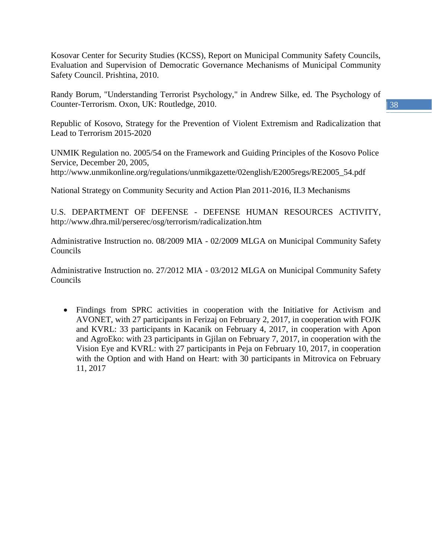Kosovar Center for Security Studies (KCSS), Report on Municipal Community Safety Councils, Evaluation and Supervision of Democratic Governance Mechanisms of Municipal Community Safety Council. Prishtina, 2010.

Randy Borum, "Understanding Terrorist Psychology," in Andrew Silke, ed. The Psychology of Counter-Terrorism. Oxon, UK: Routledge, 2010.

Republic of Kosovo, Strategy for the Prevention of Violent Extremism and Radicalization that Lead to Terrorism 2015-2020

UNMIK Regulation no. 2005/54 on the Framework and Guiding Principles of the Kosovo Police Service, December 20, 2005, http://www.unmikonline.org/regulations/unmikgazette/02english/E2005regs/RE2005\_54.pdf

National Strategy on Community Security and Action Plan 2011-2016, II.3 Mechanisms

U.S. DEPARTMENT OF DEFENSE - DEFENSE HUMAN RESOURCES ACTIVITY, http://www.dhra.mil/perserec/osg/terrorism/radicalization.htm

Administrative Instruction no. 08/2009 MIA - 02/2009 MLGA on Municipal Community Safety Councils

Administrative Instruction no. 27/2012 MIA - 03/2012 MLGA on Municipal Community Safety Councils

 Findings from SPRC activities in cooperation with the Initiative for Activism and AVONET, with 27 participants in Ferizaj on February 2, 2017, in cooperation with FOJK and KVRL: 33 participants in Kacanik on February 4, 2017, in cooperation with Apon and AgroEko: with 23 participants in Gjilan on February 7, 2017, in cooperation with the Vision Eye and KVRL: with 27 participants in Peja on February 10, 2017, in cooperation with the Option and with Hand on Heart: with 30 participants in Mitrovica on February 11, 2017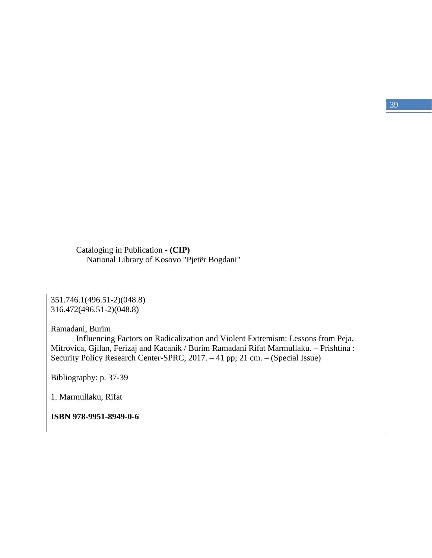Cataloging in Publication - **(CIP)** National Library of Kosovo "Pjetër Bogdani"

351.746.1(496.51-2)(048.8) 316.472(496.51-2)(048.8)

Ramadani, Burim

Influencing Factors on Radicalization and Violent Extremism: Lessons from Peja, Mitrovica, Gjilan, Ferizaj and Kacanik / Burim Ramadani Rifat Marmullaku. – Prishtina : Security Policy Research Center-SPRC, 2017. – 41 pp; 21 cm. – (Special Issue)

Bibliography: p. 37-39

1. Marmullaku, Rifat

**ISBN 978-9951-8949-0-6**

 $| 39 |$